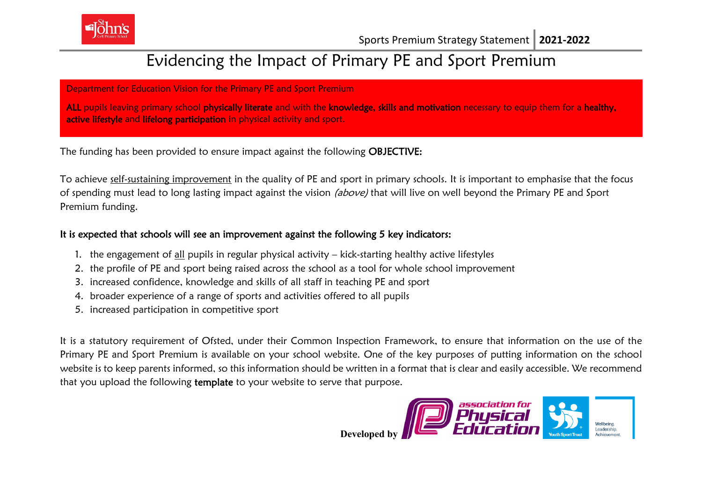

# Evidencing the Impact of Primary PE and Sport Premium

Department for Education Vision for the Primary PE and Sport Premium

ALL pupils leaving primary school physically literate and with the knowledge, skills and motivation necessary to equip them for a healthy, active lifestyle and lifelong participation in physical activity and sport.

The funding has been provided to ensure impact against the following OBJECTIVE:

To achieve self-sustaining improvement in the quality of PE and sport in primary schools. It is important to emphasise that the focus of spending must lead to long lasting impact against the vision (above) that will live on well beyond the Primary PE and Sport Premium funding.

## It is expected that schools will see an improvement against the following 5 key indicators:

- 1. the engagement of all pupils in regular physical activity kick-starting healthy active lifestyles
- 2. the profile of PE and sport being raised across the school as a tool for whole school improvement
- 3. increased confidence, knowledge and skills of all staff in teaching PE and sport
- 4. broader experience of a range of sports and activities offered to all pupils
- 5. increased participation in competitive sport

It is a statutory requirement of Ofsted, under their Common Inspection Framework, to ensure that information on the use of the Primary PE and Sport Premium is available on your school website. One of the key purposes of putting information on the school website is to keep parents informed, so this information should be written in a format that is clear and easily accessible. We recommend that you upload the following template to your website to serve that purpose.



**Developed by**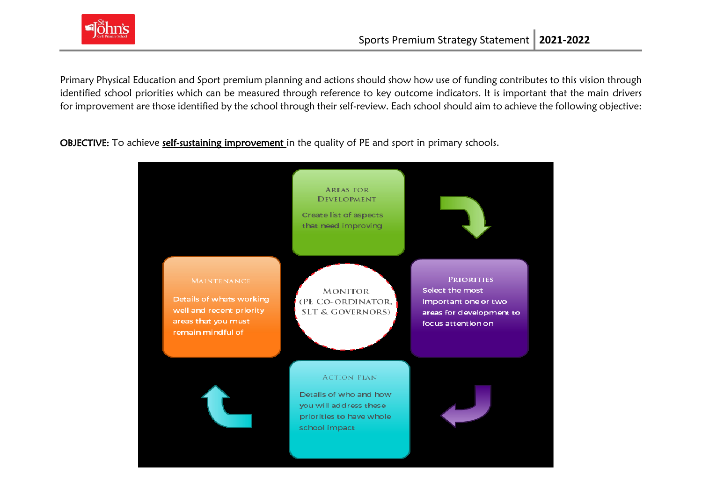

Primary Physical Education and Sport premium planning and actions should show how use of funding contributes to this vision through identified school priorities which can be measured through reference to key outcome indicators. It is important that the main drivers for improvement are those identified by the school through their self-review. Each school should aim to achieve the following objective:

OBJECTIVE: To achieve self-sustaining improvement in the quality of PE and sport in primary schools.

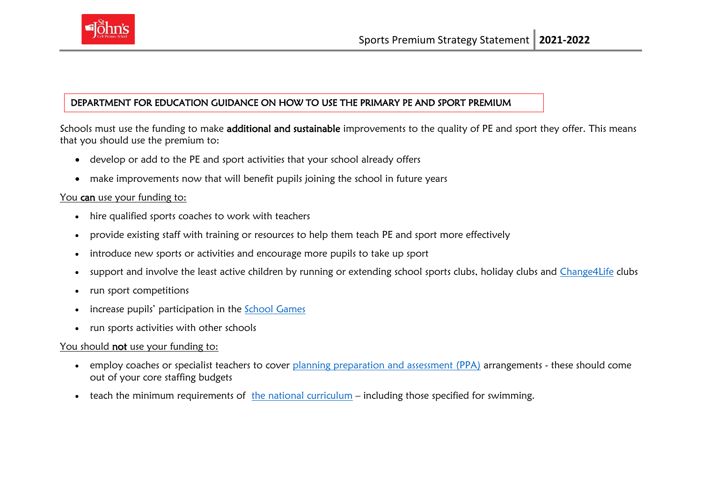

#### DEPARTMENT FOR EDUCATION GUIDANCE ON HOW TO USE THE PRIMARY PE AND SPORT PREMIUM

Schools must use the funding to make additional and sustainable improvements to the quality of PE and sport they offer. This means that you should use the premium to:

- develop or add to the PE and sport activities that your school already offers
- make improvements now that will benefit pupils joining the school in future years

#### You can use your funding to:

- hire qualified sports coaches to work with teachers
- provide existing staff with training or resources to help them teach PE and sport more effectively
- introduce new sports or activities and encourage more pupils to take up sport
- support and involve the least active children by running or extending school sports clubs, holiday clubs and [Change4Life](http://www.nhs.uk/change4life/Pages/change-for-life.aspx) clubs
- run sport competitions
- increase pupils' participation in the [School Games](https://www.gov.uk/government/policies/getting-more-people-playing-sport/supporting-pages/the-school-games)
- run sports activities with other schools

### You should not use your funding to:

- employ coaches or specialist teachers to cover [planning preparation and assessment \(PPA\)](https://www.gov.uk/government/uploads/system/uploads/attachment_data/file/341951/School_teachers__pay_and_conditions_2014.pdf) arrangements these should come out of your core staffing budgets
- teach the minimum requirements of [the national curriculum](https://www.gov.uk/government/publications/national-curriculum-in-england-physical-education-programmes-of-study) including those specified for swimming.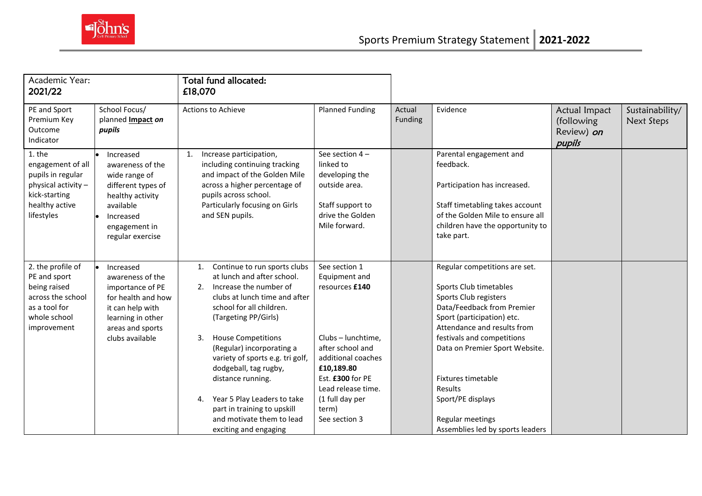

| Academic Year:<br>2021/22                                                                                                |                                                                                                                                                         | Total fund allocated:<br>£18,070                                                                                                                                                                                                                                                                                                                                                                                                                                           |                                                                                                                                                                                                                       |                   |                                                                                                                                                                                                                                                                                                                                                                  |                                                     |                               |
|--------------------------------------------------------------------------------------------------------------------------|---------------------------------------------------------------------------------------------------------------------------------------------------------|----------------------------------------------------------------------------------------------------------------------------------------------------------------------------------------------------------------------------------------------------------------------------------------------------------------------------------------------------------------------------------------------------------------------------------------------------------------------------|-----------------------------------------------------------------------------------------------------------------------------------------------------------------------------------------------------------------------|-------------------|------------------------------------------------------------------------------------------------------------------------------------------------------------------------------------------------------------------------------------------------------------------------------------------------------------------------------------------------------------------|-----------------------------------------------------|-------------------------------|
| PE and Sport<br>Premium Key<br>Outcome<br>Indicator                                                                      | School Focus/<br>planned Impact on<br>pupils                                                                                                            | <b>Actions to Achieve</b>                                                                                                                                                                                                                                                                                                                                                                                                                                                  | <b>Planned Funding</b>                                                                                                                                                                                                | Actual<br>Funding | Evidence                                                                                                                                                                                                                                                                                                                                                         | Actual Impact<br>(following<br>Review) on<br>pupils | Sustainability/<br>Next Steps |
| 1. the<br>engagement of all<br>pupils in regular<br>physical activity -<br>kick-starting<br>healthy active<br>lifestyles | Increased<br>awareness of the<br>wide range of<br>different types of<br>healthy activity<br>available<br>Increased<br>engagement in<br>regular exercise | Increase participation,<br>including continuing tracking<br>and impact of the Golden Mile<br>across a higher percentage of<br>pupils across school.<br>Particularly focusing on Girls<br>and SEN pupils.                                                                                                                                                                                                                                                                   | See section $4-$<br>linked to<br>developing the<br>outside area.<br>Staff support to<br>drive the Golden<br>Mile forward.                                                                                             |                   | Parental engagement and<br>feedback.<br>Participation has increased.<br>Staff timetabling takes account<br>of the Golden Mile to ensure all<br>children have the opportunity to<br>take part.                                                                                                                                                                    |                                                     |                               |
| 2. the profile of<br>PE and sport<br>being raised<br>across the school<br>as a tool for<br>whole school<br>improvement   | Increased<br>awareness of the<br>importance of PE<br>for health and how<br>it can help with<br>learning in other<br>areas and sports<br>clubs available | Continue to run sports clubs<br>$\mathbf{1}$ .<br>at lunch and after school.<br>2. Increase the number of<br>clubs at lunch time and after<br>school for all children.<br>(Targeting PP/Girls)<br><b>House Competitions</b><br>3.<br>(Regular) incorporating a<br>variety of sports e.g. tri golf,<br>dodgeball, tag rugby,<br>distance running.<br>Year 5 Play Leaders to take<br>4.<br>part in training to upskill<br>and motivate them to lead<br>exciting and engaging | See section 1<br>Equipment and<br>resources £140<br>Clubs - lunchtime.<br>after school and<br>additional coaches<br>£10,189.80<br>Est. £300 for PE<br>Lead release time.<br>(1 full day per<br>term)<br>See section 3 |                   | Regular competitions are set.<br>Sports Club timetables<br>Sports Club registers<br>Data/Feedback from Premier<br>Sport (participation) etc.<br>Attendance and results from<br>festivals and competitions<br>Data on Premier Sport Website.<br>Fixtures timetable<br><b>Results</b><br>Sport/PE displays<br>Regular meetings<br>Assemblies led by sports leaders |                                                     |                               |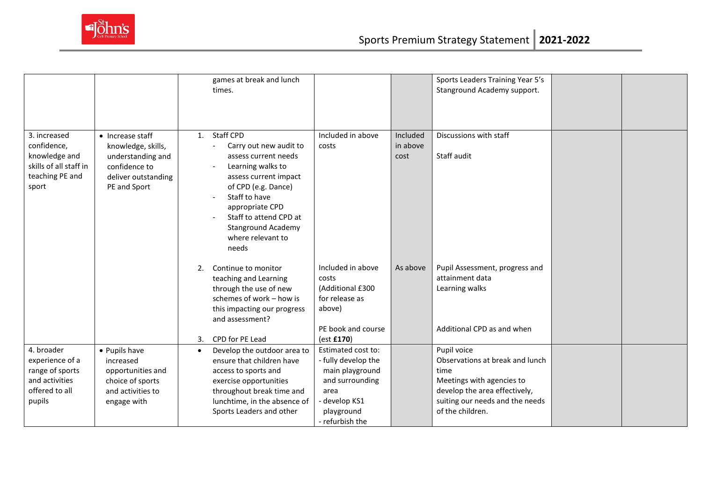

|                                                                                                    |                                                                                                                     | games at break and lunch<br>times.                                                                                                                                                                                                                                                    |                                                                                                                                           |                              | Sports Leaders Training Year 5's<br>Stanground Academy support.                                                                                                             |  |
|----------------------------------------------------------------------------------------------------|---------------------------------------------------------------------------------------------------------------------|---------------------------------------------------------------------------------------------------------------------------------------------------------------------------------------------------------------------------------------------------------------------------------------|-------------------------------------------------------------------------------------------------------------------------------------------|------------------------------|-----------------------------------------------------------------------------------------------------------------------------------------------------------------------------|--|
| 3. increased<br>confidence,<br>knowledge and<br>skills of all staff in<br>teaching PE and<br>sport | • Increase staff<br>knowledge, skills,<br>understanding and<br>confidence to<br>deliver outstanding<br>PE and Sport | 1. Staff CPD<br>Carry out new audit to<br>$\tilde{\phantom{a}}$<br>assess current needs<br>Learning walks to<br>assess current impact<br>of CPD (e.g. Dance)<br>Staff to have<br>appropriate CPD<br>Staff to attend CPD at<br><b>Stanground Academy</b><br>where relevant to<br>needs | Included in above<br>costs                                                                                                                | Included<br>in above<br>cost | Discussions with staff<br>Staff audit                                                                                                                                       |  |
|                                                                                                    |                                                                                                                     | 2.<br>Continue to monitor<br>teaching and Learning<br>through the use of new<br>schemes of work - how is<br>this impacting our progress<br>and assessment?<br>CPD for PE Lead<br>3.                                                                                                   | Included in above<br>costs<br>(Additional £300<br>for release as<br>above)<br>PE book and course<br>(est £170)                            | As above                     | Pupil Assessment, progress and<br>attainment data<br>Learning walks<br>Additional CPD as and when                                                                           |  |
| 4. broader<br>experience of a<br>range of sports<br>and activities<br>offered to all<br>pupils     | • Pupils have<br>increased<br>opportunities and<br>choice of sports<br>and activities to<br>engage with             | Develop the outdoor area to<br>$\bullet$<br>ensure that children have<br>access to sports and<br>exercise opportunities<br>throughout break time and<br>lunchtime, in the absence of<br>Sports Leaders and other                                                                      | Estimated cost to:<br>- fully develop the<br>main playground<br>and surrounding<br>area<br>- develop KS1<br>playground<br>- refurbish the |                              | Pupil voice<br>Observations at break and lunch<br>time<br>Meetings with agencies to<br>develop the area effectively,<br>suiting our needs and the needs<br>of the children. |  |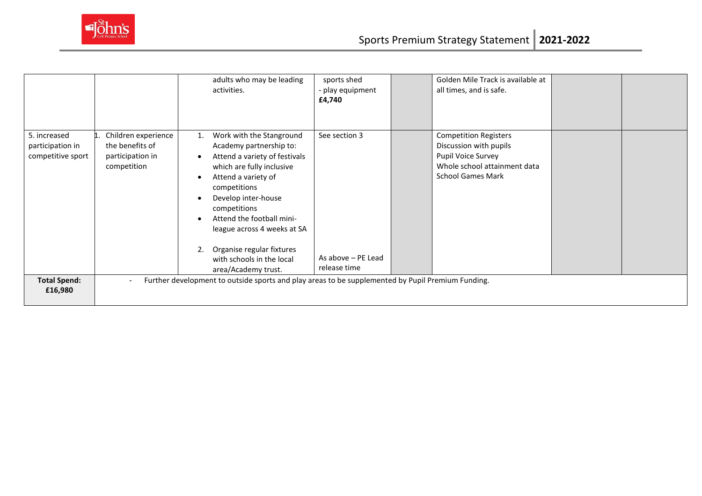

|                                                       |                                                                           | adults who may be leading<br>activities.                                                                                                                                                                                                                                                                                                                 | sports shed<br>- play equipment<br>£4,740           | Golden Mile Track is available at<br>all times, and is safe.                                                                             |  |
|-------------------------------------------------------|---------------------------------------------------------------------------|----------------------------------------------------------------------------------------------------------------------------------------------------------------------------------------------------------------------------------------------------------------------------------------------------------------------------------------------------------|-----------------------------------------------------|------------------------------------------------------------------------------------------------------------------------------------------|--|
| 5. increased<br>participation in<br>competitive sport | Children experience<br>the benefits of<br>participation in<br>competition | Work with the Stanground<br>1.<br>Academy partnership to:<br>Attend a variety of festivals<br>which are fully inclusive<br>Attend a variety of<br>competitions<br>Develop inter-house<br>competitions<br>Attend the football mini-<br>league across 4 weeks at SA<br>Organise regular fixtures<br>2.<br>with schools in the local<br>area/Academy trust. | See section 3<br>As above - PE Lead<br>release time | <b>Competition Registers</b><br>Discussion with pupils<br>Pupil Voice Survey<br>Whole school attainment data<br><b>School Games Mark</b> |  |
| <b>Total Spend:</b><br>£16,980                        |                                                                           | Further development to outside sports and play areas to be supplemented by Pupil Premium Funding.                                                                                                                                                                                                                                                        |                                                     |                                                                                                                                          |  |